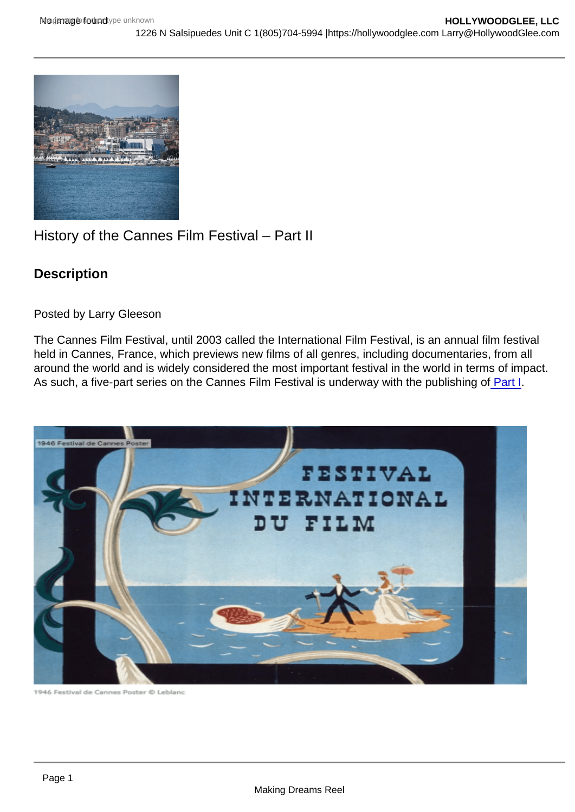## History of the Cannes Film Festival – Part II

**Description** 

Posted by Larry Gleeson

The Cannes Film Festival, until 2003 called the International Film Festival, is an annual film festival held in Cannes, France, which previews new films of all genres, including documentaries, from all around the world and is widely considered the most important festival in the world in terms of impact. As such, a five-part series on the Cannes Film Festival is underway with the publishing of [Part I.](https://hollywoodglee.com/2022/03/24/history-of-the-cannes-film-festival-part-i/)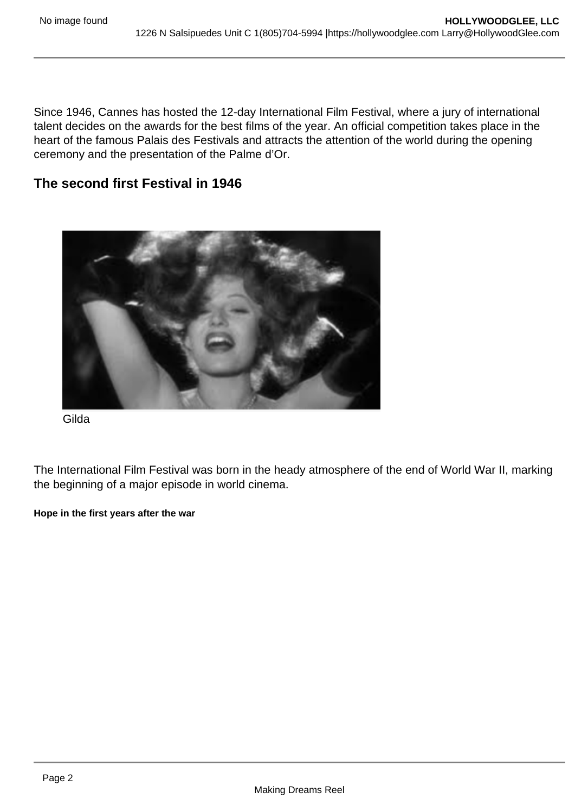Since 1946, Cannes has hosted the 12-day International Film Festival, where a jury of international talent decides on the awards for the best films of the year. An official competition takes place in the heart of the famous Palais des Festivals and attracts the attention of the world during the opening ceremony and the presentation of the Palme d'Or.

The second first Festival in 1946

Gilda

The International Film Festival was born in the heady atmosphere of the end of World War II, marking the beginning of a major episode in world cinema.

Hope in the first years after the war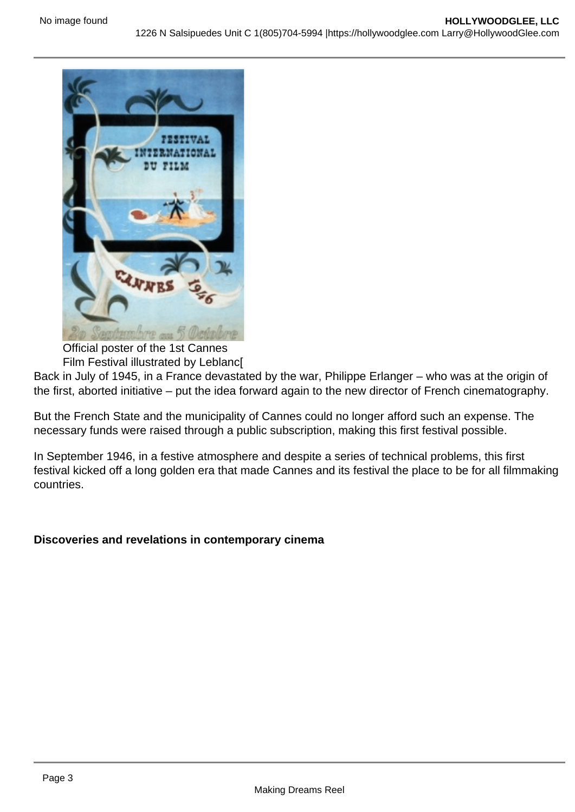Official poster of the 1st Cannes

Film Festival illustrated by Leblanc[

Back in July of 1945, in a France devastated by the war, Philippe Erlanger – who was at the origin of the first, aborted initiative – put the idea forward again to the new director of French cinematography.

But the French State and the municipality of Cannes could no longer afford such an expense. The necessary funds were raised through a public subscription, making this first festival possible.

In September 1946, in a festive atmosphere and despite a series of technical problems, this first festival kicked off a long golden era that made Cannes and its festival the place to be for all filmmaking countries.

Discoveries and revelations in contemporary cinema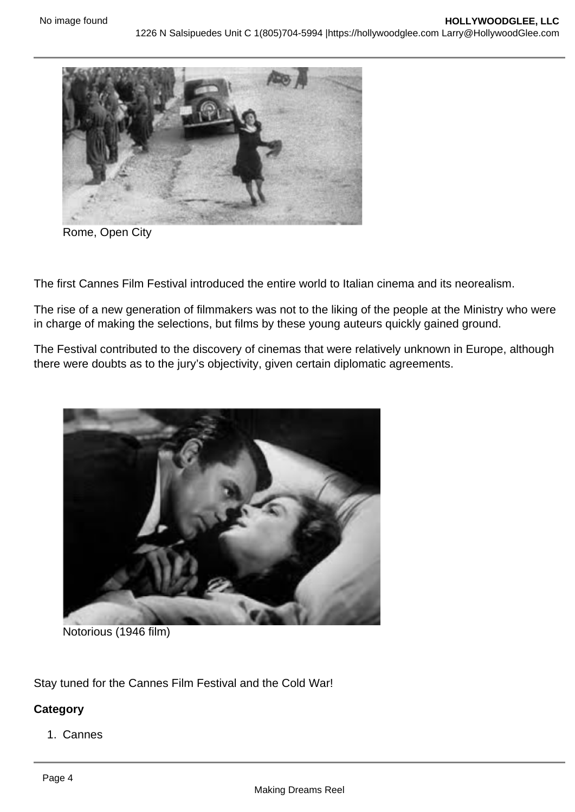Rome, Open City

The first Cannes Film Festival introduced the entire world to Italian cinema and its neorealism.

The rise of a new generation of filmmakers was not to the liking of the people at the Ministry who were in charge of making the selections, but films by these young auteurs quickly gained ground.

The Festival contributed to the discovery of cinemas that were relatively unknown in Europe, although there were doubts as to the jury's objectivity, given certain diplomatic agreements.

Notorious (1946 film)

Stay tuned for the Cannes Film Festival and the Cold War!

**Category** 

1. Cannes